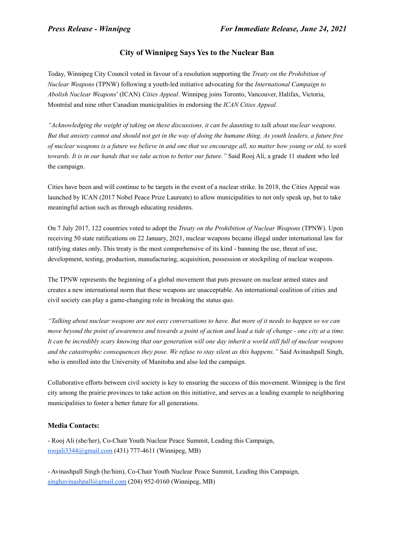# **City of Winnipeg Says Yes to the Nuclear Ban**

Today, Winnipeg City Council voted in favour of a resolution supporting the *Treaty on the Prohibition of Nuclear Weapons* (TPNW) following a youth-led initiative advocating for the *International Campaign to Abolish Nuclear Weapons*' (ICAN) *Cities Appeal*. Winnipeg joins Toronto, Vancouver, Halifax, Victoria, Montréal and nine other Canadian municipalities in endorsing the *ICAN Cities Appeal.*

"Acknowledging the weight of taking on these discussions, it can be daunting to talk about nuclear weapons. But that anxiety cannot and should not get in the way of doing the humane thing. As youth leaders, a future free of nuclear weapons is a future we believe in and one that we encourage all, no matter how young or old, to work *towards. It is in our hands that we take action to better our future."* Said Rooj Ali, a grade 11 student who led the campaign.

Cities have been and will continue to be targets in the event of a nuclear strike. In 2018, the Cities Appeal was launched by ICAN (2017 Nobel Peace Prize Laureate) to allow municipalities to not only speak up, but to take meaningful action such as through educating residents.

On 7 July 2017, 122 countries voted to adopt the *Treaty on the Prohibition of Nuclear Weapons* (TPNW). Upon receiving 50 state ratifications on 22 January, 2021, nuclear weapons became illegal under international law for ratifying states only. This treaty is the most comprehensive of its kind - banning the use, threat of use, development, testing, production, manufacturing, acquisition, possession or stockpiling of nuclear weapons.

The TPNW represents the beginning of a global movement that puts pressure on nuclear armed states and creates a new international norm that these weapons are unacceptable. An international coalition of cities and civil society can play a game-changing role in breaking the status quo.

"Talking about nuclear weapons are not easy conversations to have. But more of it needs to happen so we can move beyond the point of awareness and towards a point of action and lead a tide of change - one city at a time. It can be incredibly scary knowing that our generation will one day inherit a world still full of nuclear weapons *and the catastrophic consequences they pose. We refuse to stay silent as this happens."* Said Avinashpall Singh, who is enrolled into the University of Manitoba and also led the campaign.

Collaborative efforts between civil society is key to ensuring the success of this movement. Winnipeg is the first city among the prairie provinces to take action on this initiative, and serves as a leading example to neighboring municipalities to foster a better future for all generations.

## **Media Contacts:**

- Rooj Ali (she/her), Co-Chair Youth Nuclear Peace Summit, Leading this Campaign, roojali3344@gmail.com (431) 777-4611 (Winnipeg, MB)

- Avinashpall Singh (he/him), Co-Chair Youth Nuclear Peace Summit, Leading this Campaign, singhavinashpall@gmail.com (204) 952-0160 (Winnipeg, MB)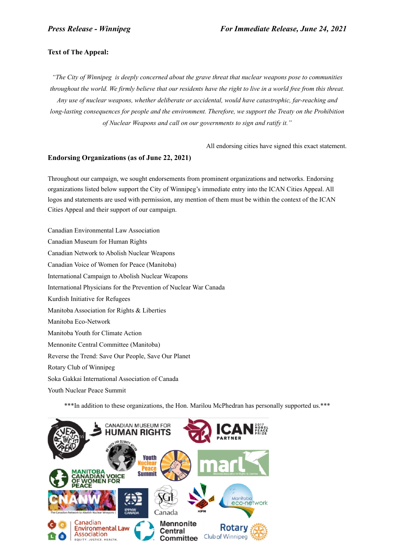### **Text of The Appeal:**

*"The City of Winnipeg is deeply concerned about the grave threat that nuclear weapons pose to communities* throughout the world. We firmly believe that our residents have the right to live in a world free from this threat. *Any use of nuclear weapons, whether deliberate or accidental, would have catastrophic, far-reaching and long-lasting consequences for people and the environment. Therefore, we support the Treaty on the Prohibition of Nuclear Weapons and call on our governments to sign and ratify it."*

All endorsing cities have signed this exact statement.

#### **Endorsing Organizations (as of June 22, 2021)**

Throughout our campaign, we sought endorsements from prominent organizations and networks. Endorsing organizations listed below support the City of Winnipeg's immediate entry into the ICAN Cities Appeal. All logos and statements are used with permission, any mention of them must be within the context of the ICAN Cities Appeal and their support of our campaign.

Canadian Environmental Law Association Canadian Museum for Human Rights Canadian Network to Abolish Nuclear Weapons Canadian Voice of Women for Peace (Manitoba) International Campaign to Abolish Nuclear Weapons International Physicians for the Prevention of Nuclear War Canada Kurdish Initiative for Refugees Manitoba Association for Rights & Liberties Manitoba Eco-Network Manitoba Youth for Climate Action Mennonite Central Committee (Manitoba) Reverse the Trend: Save Our People, Save Our Planet Rotary Club of Winnipeg Soka Gakkai International Association of Canada Youth Nuclear Peace Summit

\*\*\*In addition to these organizations, the Hon. Marilou McPhedran has personally supported us.\*\*\*

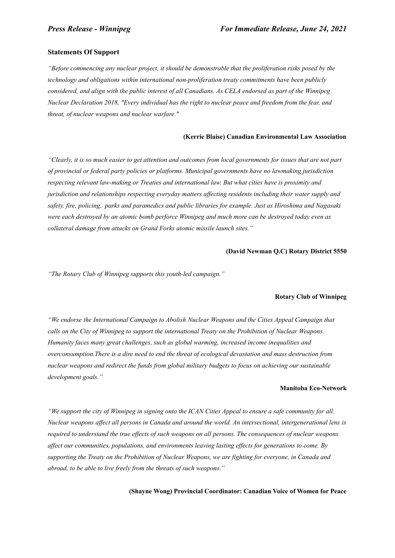#### **Statements Of Support**

*"Before commencing any nuclear project, it should be demonstrable that the proliferation risks posed by the technology and obligations within international non-proliferation treaty commitments have been publicly* considered, and align with the public interest of all Canadians. As CELA endorsed as part of the Winnipeg *Nuclear Declaration 2018, "Every individual has the right to nuclear peace and freedom from the fear, and threat, of nuclear weapons and nuclear warfare."*

#### **(Kerrie Blaise) Canadian Environmental Law Association**

"Clearly, it is so much easier to get attention and outcomes from local governments for issues that are not part *of provincial or federal party policies or platforms. Municipal governments have no lawmaking jurisdiction respecting relevant law-making or Treaties and international law. But what cities have is proximity and jurisdiction and relationships respecting everyday matters af ecting residents including their water supply and safety. fire, policing, parks and paramedics and public libraries for example. Just as Hiroshima and Nagasaki* were each destroyed by an atomic bomb perforce Winnipeg and much more can be destroyed today even as *collateral damage from attacks on Grand Forks atomic missile launch sites."*

#### **(David Newman Q.C) Rotary District 5550**

*"The Rotary Club of Winnipeg supports this youth-led campaign."*

#### **Rotary Club of Winnipeg**

*"We endorse the International Campaign to Abolish Nuclear Weapons and the Cities Appeal Campaign that calls on the City of Winnipeg to support the international Treaty on the Prohibition of Nuclear Weapons. Humanity faces many great challenges, such as global warming, increased income inequalities and overconsumption.There is a dire need to end the threat of ecological devastation and mass destruction from nuclear weapons and redirect the funds from global military budgets to focus on achieving our sustainable development goals."*

#### **Manitoba Eco-Network**

"We support the city of Winnipeg in signing onto the ICAN Cities Appeal to ensure a safe community for all. Nuclear weapons affect all persons in Canada and around the world. An intersectional, intergenerational lens is required to understand the true effects of such weapons on all persons. The consequences of nuclear weapons *af ect our communities, populations, and environments leaving lasting ef ects for generations to come. By supporting the Treaty on the Prohibition of Nuclear Weapons, we are fighting for everyone, in Canada and abroad, to be able to live freely from the threats of such weapons."*

**(Shayne Wong) Provincial Coordinator: Canadian Voice of Women for Peace**